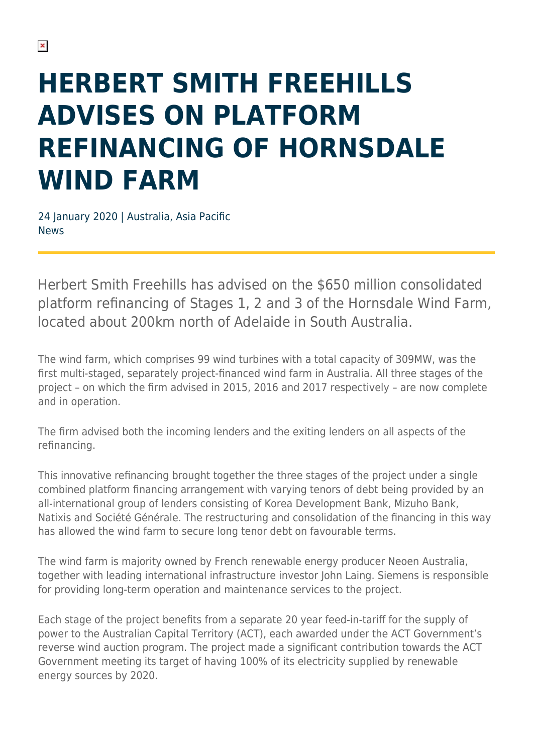## **HERBERT SMITH FREEHILLS ADVISES ON PLATFORM REFINANCING OF HORNSDALE WIND FARM**

24 January 2020 | Australia, Asia Pacific News

Herbert Smith Freehills has advised on the \$650 million consolidated platform refinancing of Stages 1, 2 and 3 of the Hornsdale Wind Farm, located about 200km north of Adelaide in South Australia.

The wind farm, which comprises 99 wind turbines with a total capacity of 309MW, was the first multi-staged, separately project-financed wind farm in Australia. All three stages of the project – on which the firm advised in 2015, 2016 and 2017 respectively – are now complete and in operation.

The firm advised both the incoming lenders and the exiting lenders on all aspects of the refinancing.

This innovative refinancing brought together the three stages of the project under a single combined platform financing arrangement with varying tenors of debt being provided by an all-international group of lenders consisting of Korea Development Bank, Mizuho Bank, Natixis and Société Générale. The restructuring and consolidation of the financing in this way has allowed the wind farm to secure long tenor debt on favourable terms.

The wind farm is majority owned by French renewable energy producer Neoen Australia, together with leading international infrastructure investor John Laing. Siemens is responsible for providing long-term operation and maintenance services to the project.

Each stage of the project benefits from a separate 20 year feed-in-tariff for the supply of power to the Australian Capital Territory (ACT), each awarded under the ACT Government's reverse wind auction program. The project made a significant contribution towards the ACT Government meeting its target of having 100% of its electricity supplied by renewable energy sources by 2020.